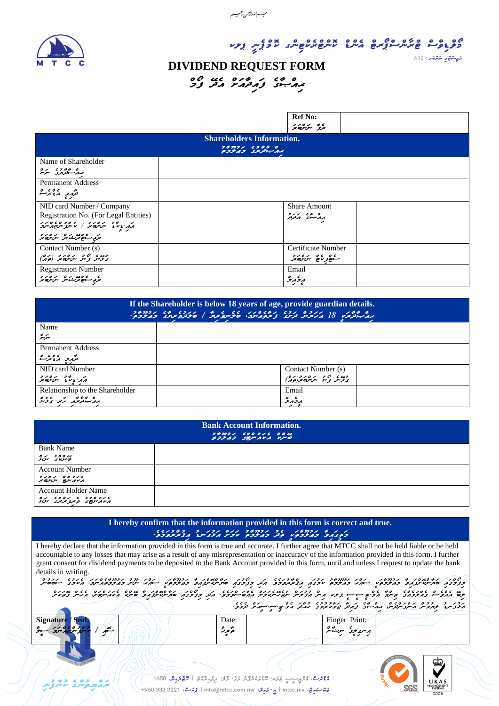

لبءاللدازحمن لأرحيسهم

ده ده و مرکز ده ده و ده و ده ده ده و ده ده در ارد.<br>در دو ده و کرگر در در ده ده در در در در در در ارد.

#### ي<sub>م</sub> پاڻي برگري. 680

#### **DIVIDEND REQUEST FORM** 00 UC 014 1 64 0<br>33 JA TAPAJ 54.AL

|                                                                                               | <b>Ref No:</b><br>ים התייפות                            |  |  |  |  |
|-----------------------------------------------------------------------------------------------|---------------------------------------------------------|--|--|--|--|
| <b>Shareholders Information.</b><br>بربر سيوتريزي وجرمزوج                                     |                                                         |  |  |  |  |
| Name of Shareholder<br>رە بەترىرى سەرە                                                        |                                                         |  |  |  |  |
| <b>Permanent Address</b><br>مگرد میگر                                                         |                                                         |  |  |  |  |
| NID card Number / Company<br>Registration No. (For Legal Entities)<br>הגיווי יירו בין בפרסופי | <b>Share Amount</b><br>بروکسی کردو                      |  |  |  |  |
| بر کے منصوبے میں اس کا دیا ہے۔<br>برابع سابقے برے س                                           |                                                         |  |  |  |  |
| Contact Number (s)<br>وي و و مرورد (وره)                                                      | Certificate Number<br>ے مورے مرید ہے۔<br>سنورین مرید ہے |  |  |  |  |
| <b>Registration Number</b><br>ى مەدەب بەھ بەرەر دېر<br>بىربى سىھەر ئىشەس سەرىرى بىر           | Email<br>$\circ$ $\circ$<br>بروبرو<br>- -               |  |  |  |  |

| If the Shareholder is below 18 years of age, provide guardian details.<br>ם ככן החברת האבים נכן נפוסנג גם המודד הנכן כן נוספי.<br>הת-תומנו 18 האמיני תינג צ'מפגינהי סיכיינפימי"   סיכתפימינג בהיכבים |                         |  |  |  |  |
|------------------------------------------------------------------------------------------------------------------------------------------------------------------------------------------------------|-------------------------|--|--|--|--|
| Name                                                                                                                                                                                                 |                         |  |  |  |  |
| سرپر                                                                                                                                                                                                 |                         |  |  |  |  |
| <b>Permanent Address</b>                                                                                                                                                                             |                         |  |  |  |  |
| تررد ری دیگر                                                                                                                                                                                         |                         |  |  |  |  |
| NID card Number                                                                                                                                                                                      | Contact Number (s)      |  |  |  |  |
| $2001 - 29 = 12$<br>גג גיע ייטישי                                                                                                                                                                    | وي و و سر و د د و د د م |  |  |  |  |
| Relationship to the Shareholder                                                                                                                                                                      | Email                   |  |  |  |  |
| رە مەنبەر ئەر بەر بە                                                                                                                                                                                 | مرځ مر                  |  |  |  |  |

| <b>Bank Account Information.</b><br>24221 620216 0046<br>GULAS SEMAVA VIC |  |  |  |  |
|---------------------------------------------------------------------------|--|--|--|--|
| <b>Bank Name</b>                                                          |  |  |  |  |
| גים בים הפי<br>פייתוני ב                                                  |  |  |  |  |
| <b>Account Number</b>                                                     |  |  |  |  |
| seas agus                                                                 |  |  |  |  |
| <b>Account Holder Name</b>                                                |  |  |  |  |
| א נכסכל ה ניביל הנס                                                       |  |  |  |  |

### **I hereby confirm that the information provided in this form is correct and true.**

I hereby declare that the information provided in this form is true and accurate. I further agree that MTCC shall not be held liable or be held accountable to any losses that may arise as a result of any misrepresentation or inaccuracy of the information provided in this form. I further grant consent for dividend payments to be deposited to the Bank Account provided in this form, until and unless I request to update the bank details in writing.

دادی، ک<sup>ی</sup>ژیندی دو از این کند که استان داد دادند و دارد و در دارد و کارشندی کند که از کارشن کند که از کارشن از ا<br>دی دوره به دوره و این کارشن کنده و این کارشن از این کندی دوره مودی از دارد و کارشن کندگی کند که از این کند و